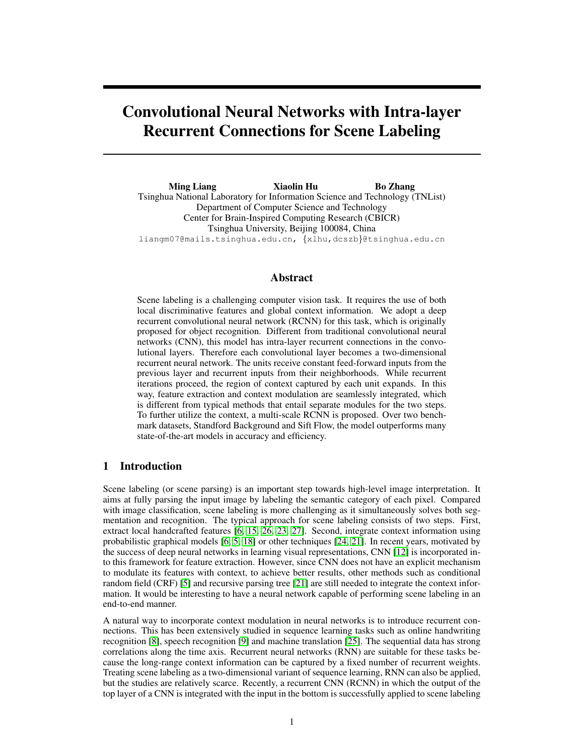# Convolutional Neural Networks with Intra-layer Recurrent Connections for Scene Labeling

Ming Liang Xiaolin Hu Bo Zhang Tsinghua National Laboratory for Information Science and Technology (TNList) Department of Computer Science and Technology Center for Brain-Inspired Computing Research (CBICR) Tsinghua University, Beijing 100084, China liangm07@mails.tsinghua.edu.cn, {xlhu,dcszb}@tsinghua.edu.cn

## Abstract

Scene labeling is a challenging computer vision task. It requires the use of both local discriminative features and global context information. We adopt a deep recurrent convolutional neural network (RCNN) for this task, which is originally proposed for object recognition. Different from traditional convolutional neural networks (CNN), this model has intra-layer recurrent connections in the convolutional layers. Therefore each convolutional layer becomes a two-dimensional recurrent neural network. The units receive constant feed-forward inputs from the previous layer and recurrent inputs from their neighborhoods. While recurrent iterations proceed, the region of context captured by each unit expands. In this way, feature extraction and context modulation are seamlessly integrated, which is different from typical methods that entail separate modules for the two steps. To further utilize the context, a multi-scale RCNN is proposed. Over two benchmark datasets, Standford Background and Sift Flow, the model outperforms many state-of-the-art models in accuracy and efficiency.

# 1 Introduction

Scene labeling (or scene parsing) is an important step towards high-level image interpretation. It aims at fully parsing the input image by labeling the semantic category of each pixel. Compared with image classification, scene labeling is more challenging as it simultaneously solves both segmentation and recognition. The typical approach for scene labeling consists of two steps. First, extract local handcrafted features [6, 15, 26, 23, 27]. Second, integrate context information using probabilistic graphical models [6, 5, 18] or other techniques [24, 21]. In recent years, motivated by the success of deep neural networks in learning visual representations, CNN [12] is incorporated into this framework for feature extraction. However, since CNN does not have an explicit mechanism to modulate its features with context, to achieve better results, other methods such as conditional random field (CRF) [5] and recursive parsing tree [21] are still needed to integrate the context information. It would be interesting to have a neural network capable of performing scene labeling in an end-to-end manner.

A natural way to incorporate context modulation in neural networks is to introduce recurrent connections. This has been extensively studied in sequence learning tasks such as online handwriting recognition [8], speech recognition [9] and machine translation [25]. The sequential data has strong correlations along the time axis. Recurrent neural networks (RNN) are suitable for these tasks because the long-range context information can be captured by a fixed number of recurrent weights. Treating scene labeling as a two-dimensional variant of sequence learning, RNN can also be applied, but the studies are relatively scarce. Recently, a recurrent CNN (RCNN) in which the output of the top layer of a CNN is integrated with the input in the bottom is successfully applied to scene labeling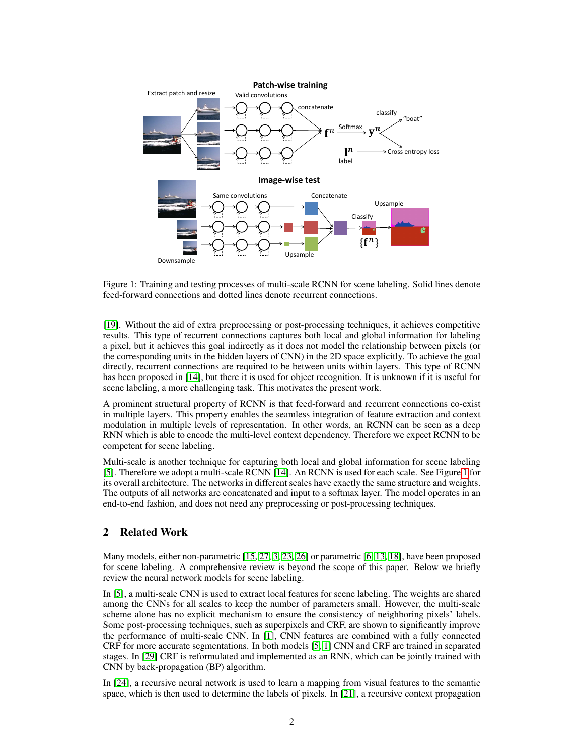

Figure 1: Training and testing processes of multi-scale RCNN for scene labeling. Solid lines denote feed-forward connections and dotted lines denote recurrent connections.

[19]. Without the aid of extra preprocessing or post-processing techniques, it achieves competitive results. This type of recurrent connections captures both local and global information for labeling a pixel, but it achieves this goal indirectly as it does not model the relationship between pixels (or the corresponding units in the hidden layers of CNN) in the 2D space explicitly. To achieve the goal directly, recurrent connections are required to be between units within layers. This type of RCNN has been proposed in [14], but there it is used for object recognition. It is unknown if it is useful for scene labeling, a more challenging task. This motivates the present work.

A prominent structural property of RCNN is that feed-forward and recurrent connections co-exist in multiple layers. This property enables the seamless integration of feature extraction and context modulation in multiple levels of representation. In other words, an RCNN can be seen as a deep RNN which is able to encode the multi-level context dependency. Therefore we expect RCNN to be competent for scene labeling.

Multi-scale is another technique for capturing both local and global information for scene labeling [5]. Therefore we adopt a multi-scale RCNN [14]. An RCNN is used for each scale. See Figure 1 for its overall architecture. The networks in different scales have exactly the same structure and weights. The outputs of all networks are concatenated and input to a softmax layer. The model operates in an end-to-end fashion, and does not need any preprocessing or post-processing techniques.

# 2 Related Work

Many models, either non-parametric [15, 27, 3, 23, 26] or parametric [6, 13, 18], have been proposed for scene labeling. A comprehensive review is beyond the scope of this paper. Below we briefly review the neural network models for scene labeling.

In [5], a multi-scale CNN is used to extract local features for scene labeling. The weights are shared among the CNNs for all scales to keep the number of parameters small. However, the multi-scale scheme alone has no explicit mechanism to ensure the consistency of neighboring pixels' labels. Some post-processing techniques, such as superpixels and CRF, are shown to significantly improve the performance of multi-scale CNN. In [1], CNN features are combined with a fully connected CRF for more accurate segmentations. In both models [5, 1] CNN and CRF are trained in separated stages. In [29] CRF is reformulated and implemented as an RNN, which can be jointly trained with CNN by back-propagation (BP) algorithm.

In [24], a recursive neural network is used to learn a mapping from visual features to the semantic space, which is then used to determine the labels of pixels. In [21], a recursive context propagation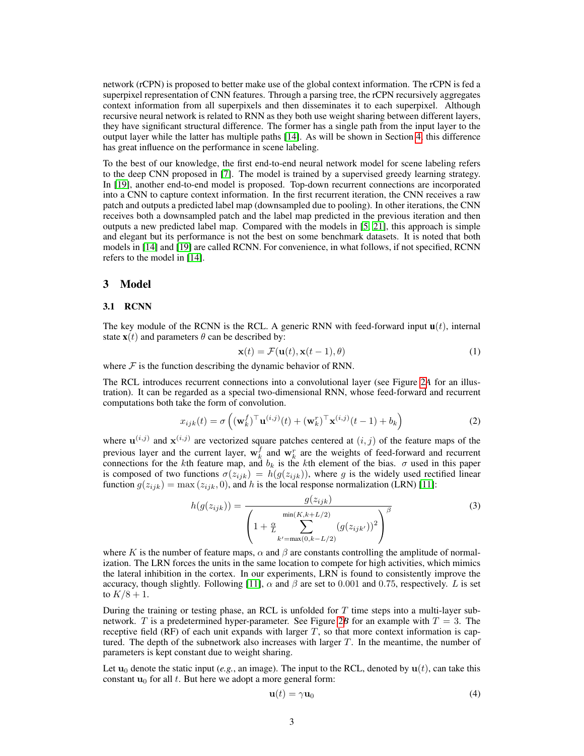network (rCPN) is proposed to better make use of the global context information. The rCPN is fed a superpixel representation of CNN features. Through a parsing tree, the rCPN recursively aggregates context information from all superpixels and then disseminates it to each superpixel. Although recursive neural network is related to RNN as they both use weight sharing between different layers, they have significant structural difference. The former has a single path from the input layer to the output layer while the latter has multiple paths [14]. As will be shown in Section 4, this difference has great influence on the performance in scene labeling.

To the best of our knowledge, the first end-to-end neural network model for scene labeling refers to the deep CNN proposed in [7]. The model is trained by a supervised greedy learning strategy. In [19], another end-to-end model is proposed. Top-down recurrent connections are incorporated into a CNN to capture context information. In the first recurrent iteration, the CNN receives a raw patch and outputs a predicted label map (downsampled due to pooling). In other iterations, the CNN receives both a downsampled patch and the label map predicted in the previous iteration and then outputs a new predicted label map. Compared with the models in [5, 21], this approach is simple and elegant but its performance is not the best on some benchmark datasets. It is noted that both models in [14] and [19] are called RCNN. For convenience, in what follows, if not specified, RCNN refers to the model in [14].

## 3 Model

#### 3.1 RCNN

The key module of the RCNN is the RCL. A generic RNN with feed-forward input  $\mathbf{u}(t)$ , internal state  $\mathbf{x}(t)$  and parameters  $\theta$  can be described by:

$$
\mathbf{x}(t) = \mathcal{F}(\mathbf{u}(t), \mathbf{x}(t-1), \theta) \tag{1}
$$

where  $\mathcal F$  is the function describing the dynamic behavior of RNN.

The RCL introduces recurrent connections into a convolutional layer (see Figure 2*A* for an illustration). It can be regarded as a special two-dimensional RNN, whose feed-forward and recurrent computations both take the form of convolution.

$$
x_{ijk}(t) = \sigma\left((\mathbf{w}_k^f)^\top \mathbf{u}^{(i,j)}(t) + (\mathbf{w}_k^r)^\top \mathbf{x}^{(i,j)}(t-1) + b_k\right)
$$
 (2)

where  $\mathbf{u}^{(i,j)}$  and  $\mathbf{x}^{(i,j)}$  are vectorized square patches centered at  $(i, j)$  of the feature maps of the previous layer and the current layer,  $\mathbf{w}_k^f$  and  $\mathbf{w}_k^r$  are the weights of feed-forward and recurrent connections for the kth feature map, and  $b_k$  is the kth element of the bias.  $\sigma$  used in this paper is composed of two functions  $\sigma(z_{ijk}) = h(g(z_{ijk}))$ , where g is the widely used rectified linear function  $g(z_{ijk}) = \max(z_{ijk}, 0)$ , and h is the local response normalization (LRN) [11]:

$$
h(g(z_{ijk})) = \frac{g(z_{ijk})}{\left(1 + \frac{\alpha}{L} \sum_{k'=\max(0,k-L/2)}^{\min(K,k+L/2)} (g(z_{ijk'}))^2\right)^{\beta}}
$$
(3)

where K is the number of feature maps,  $\alpha$  and  $\beta$  are constants controlling the amplitude of normalization. The LRN forces the units in the same location to compete for high activities, which mimics the lateral inhibition in the cortex. In our experiments, LRN is found to consistently improve the accuracy, though slightly. Following [11],  $\alpha$  and  $\beta$  are set to 0.001 and 0.75, respectively. L is set to  $K/8 + 1$ .

During the training or testing phase, an RCL is unfolded for  $T$  time steps into a multi-layer subnetwork. T is a predetermined hyper-parameter. See Figure 2B for an example with  $T = 3$ . The receptive field  $(RF)$  of each unit expands with larger T, so that more context information is captured. The depth of the subnetwork also increases with larger  $T$ . In the meantime, the number of parameters is kept constant due to weight sharing.

Let  $u_0$  denote the static input (*e.g.*, an image). The input to the RCL, denoted by  $u(t)$ , can take this constant  $\mathbf{u}_0$  for all t. But here we adopt a more general form:

$$
\mathbf{u}(t) = \gamma \mathbf{u}_0 \tag{4}
$$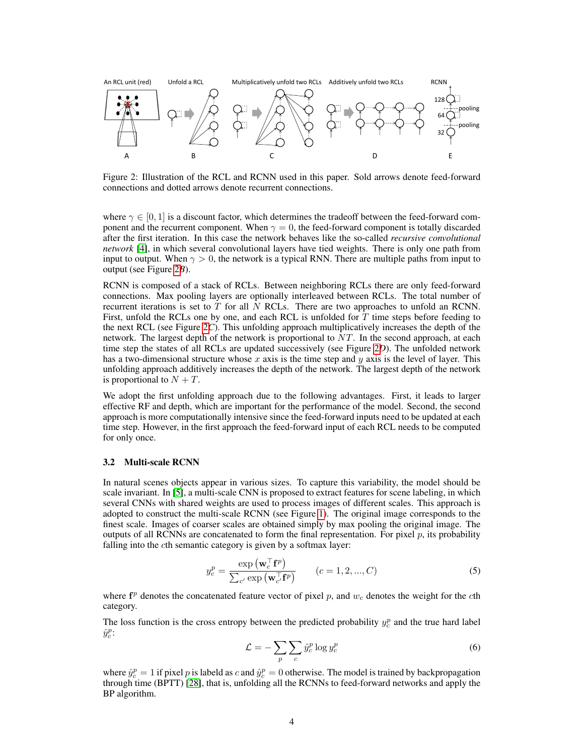

Figure 2: Illustration of the RCL and RCNN used in this paper. Sold arrows denote feed-forward connections and dotted arrows denote recurrent connections.

where  $\gamma \in [0, 1]$  is a discount factor, which determines the tradeoff between the feed-forward component and the recurrent component. When  $\gamma = 0$ , the feed-forward component is totally discarded after the first iteration. In this case the network behaves like the so-called *recursive convolutional network* [4], in which several convolutional layers have tied weights. There is only one path from input to output. When  $\gamma > 0$ , the network is a typical RNN. There are multiple paths from input to output (see Figure 2*B*).

RCNN is composed of a stack of RCLs. Between neighboring RCLs there are only feed-forward connections. Max pooling layers are optionally interleaved between RCLs. The total number of recurrent iterations is set to  $\overline{T}$  for all  $\overline{N}$  RCLs. There are two approaches to unfold an RCNN. First, unfold the RCLs one by one, and each RCL is unfolded for  $T$  time steps before feeding to the next RCL (see Figure 2*C*). This unfolding approach multiplicatively increases the depth of the network. The largest depth of the network is proportional to  $NT$ . In the second approach, at each time step the states of all RCLs are updated successively (see Figure 2*D*). The unfolded network has a two-dimensional structure whose  $x$  axis is the time step and  $y$  axis is the level of layer. This unfolding approach additively increases the depth of the network. The largest depth of the network is proportional to  $N + T$ .

We adopt the first unfolding approach due to the following advantages. First, it leads to larger effective RF and depth, which are important for the performance of the model. Second, the second approach is more computationally intensive since the feed-forward inputs need to be updated at each time step. However, in the first approach the feed-forward input of each RCL needs to be computed for only once.

#### 3.2 Multi-scale RCNN

In natural scenes objects appear in various sizes. To capture this variability, the model should be scale invariant. In [5], a multi-scale CNN is proposed to extract features for scene labeling, in which several CNNs with shared weights are used to process images of different scales. This approach is adopted to construct the multi-scale RCNN (see Figure 1). The original image corresponds to the finest scale. Images of coarser scales are obtained simply by max pooling the original image. The outputs of all RCNNs are concatenated to form the final representation. For pixel  $p$ , its probability falling into the cth semantic category is given by a softmax layer:

$$
y_c^p = \frac{\exp\left(\mathbf{w}_c^\top \mathbf{f}^p\right)}{\sum_{c'} \exp\left(\mathbf{w}_c^\top \mathbf{f}^p\right)} \qquad (c = 1, 2, ..., C)
$$
 (5)

where  $f<sup>p</sup>$  denotes the concatenated feature vector of pixel p, and  $w<sub>c</sub>$  denotes the weight for the cth category.

The loss function is the cross entropy between the predicted probability  $y_c^p$  and the true hard label  $\hat{y}_c^p$ :

$$
\mathcal{L} = -\sum_{p} \sum_{c} \hat{y}_c^p \log y_c^p \tag{6}
$$

where  $\hat{y}_c^p = 1$  if pixel p is labeld as c and  $\hat{y}_c^p = 0$  otherwise. The model is trained by backpropagation through time (BPTT) [28], that is, unfolding all the RCNNs to feed-forward networks and apply the BP algorithm.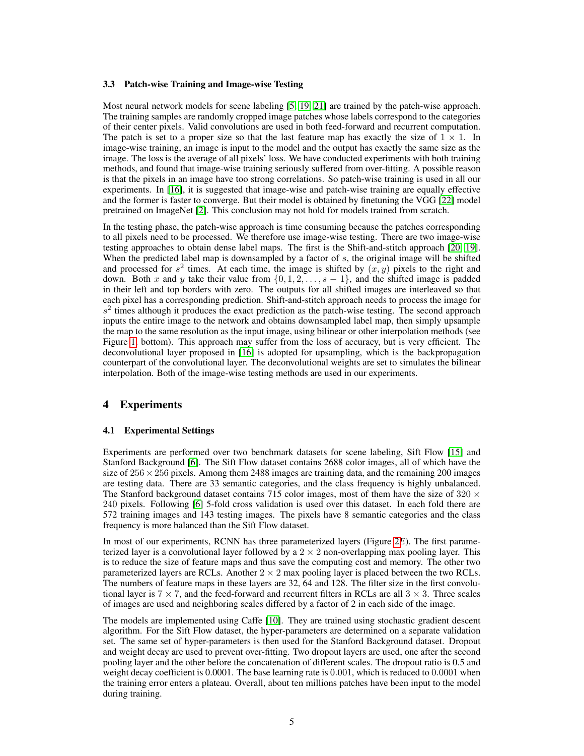### 3.3 Patch-wise Training and Image-wise Testing

Most neural network models for scene labeling [5, 19, 21] are trained by the patch-wise approach. The training samples are randomly cropped image patches whose labels correspond to the categories of their center pixels. Valid convolutions are used in both feed-forward and recurrent computation. The patch is set to a proper size so that the last feature map has exactly the size of  $1 \times 1$ . In image-wise training, an image is input to the model and the output has exactly the same size as the image. The loss is the average of all pixels' loss. We have conducted experiments with both training methods, and found that image-wise training seriously suffered from over-fitting. A possible reason is that the pixels in an image have too strong correlations. So patch-wise training is used in all our experiments. In [16], it is suggested that image-wise and patch-wise training are equally effective and the former is faster to converge. But their model is obtained by finetuning the VGG [22] model pretrained on ImageNet [2]. This conclusion may not hold for models trained from scratch.

In the testing phase, the patch-wise approach is time consuming because the patches corresponding to all pixels need to be processed. We therefore use image-wise testing. There are two image-wise testing approaches to obtain dense label maps. The first is the Shift-and-stitch approach [20, 19]. When the predicted label map is downsampled by a factor of s, the original image will be shifted and processed for  $s^2$  times. At each time, the image is shifted by  $(x, y)$  pixels to the right and down. Both x and y take their value from  $\{0, 1, 2, \ldots, s - 1\}$ , and the shifted image is padded in their left and top borders with zero. The outputs for all shifted images are interleaved so that each pixel has a corresponding prediction. Shift-and-stitch approach needs to process the image for  $s<sup>2</sup>$  times although it produces the exact prediction as the patch-wise testing. The second approach inputs the entire image to the network and obtains downsampled label map, then simply upsample the map to the same resolution as the input image, using bilinear or other interpolation methods (see Figure 1, bottom). This approach may suffer from the loss of accuracy, but is very efficient. The deconvolutional layer proposed in [16] is adopted for upsampling, which is the backpropagation counterpart of the convolutional layer. The deconvolutional weights are set to simulates the bilinear interpolation. Both of the image-wise testing methods are used in our experiments.

## 4 Experiments

## 4.1 Experimental Settings

Experiments are performed over two benchmark datasets for scene labeling, Sift Flow [15] and Stanford Background [6]. The Sift Flow dataset contains 2688 color images, all of which have the size of  $256 \times 256$  pixels. Among them 2488 images are training data, and the remaining 200 images are testing data. There are 33 semantic categories, and the class frequency is highly unbalanced. The Stanford background dataset contains 715 color images, most of them have the size of 320  $\times$ 240 pixels. Following [6] 5-fold cross validation is used over this dataset. In each fold there are 572 training images and 143 testing images. The pixels have 8 semantic categories and the class frequency is more balanced than the Sift Flow dataset.

In most of our experiments, RCNN has three parameterized layers (Figure 2*E*). The first parameterized layer is a convolutional layer followed by a  $2 \times 2$  non-overlapping max pooling layer. This is to reduce the size of feature maps and thus save the computing cost and memory. The other two parameterized layers are RCLs. Another  $2 \times 2$  max pooling layer is placed between the two RCLs. The numbers of feature maps in these layers are 32, 64 and 128. The filter size in the first convolutional layer is  $7 \times 7$ , and the feed-forward and recurrent filters in RCLs are all  $3 \times 3$ . Three scales of images are used and neighboring scales differed by a factor of 2 in each side of the image.

The models are implemented using Caffe [10]. They are trained using stochastic gradient descent algorithm. For the Sift Flow dataset, the hyper-parameters are determined on a separate validation set. The same set of hyper-parameters is then used for the Stanford Background dataset. Dropout and weight decay are used to prevent over-fitting. Two dropout layers are used, one after the second pooling layer and the other before the concatenation of different scales. The dropout ratio is 0.5 and weight decay coefficient is 0.0001. The base learning rate is 0.001, which is reduced to 0.0001 when the training error enters a plateau. Overall, about ten millions patches have been input to the model during training.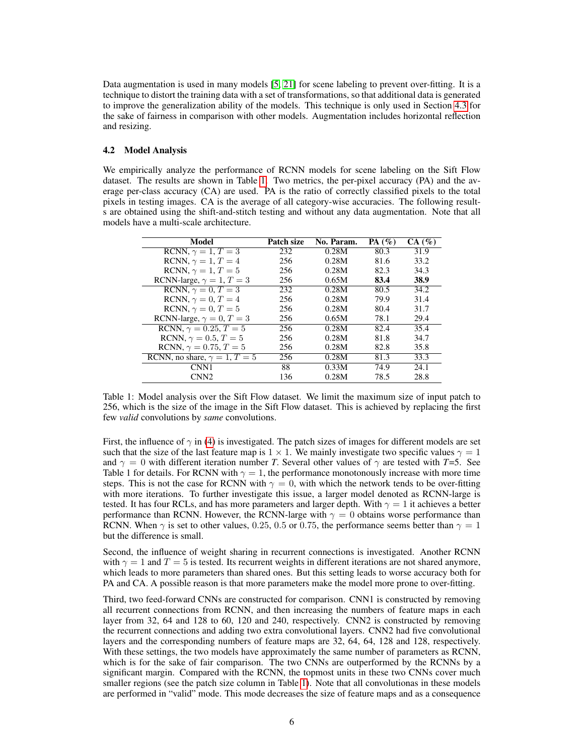Data augmentation is used in many models [5, 21] for scene labeling to prevent over-fitting. It is a technique to distort the training data with a set of transformations, so that additional data is generated to improve the generalization ability of the models. This technique is only used in Section 4.3 for the sake of fairness in comparison with other models. Augmentation includes horizontal reflection and resizing.

## 4.2 Model Analysis

We empirically analyze the performance of RCNN models for scene labeling on the Sift Flow dataset. The results are shown in Table 1. Two metrics, the per-pixel accuracy (PA) and the average per-class accuracy (CA) are used. PA is the ratio of correctly classified pixels to the total pixels in testing images. CA is the average of all category-wise accuracies. The following results are obtained using the shift-and-stitch testing and without any data augmentation. Note that all models have a multi-scale architecture.

| Model                               | Patch size | No. Param. | PA $(\%)$ | CA(%) |
|-------------------------------------|------------|------------|-----------|-------|
| RCNN, $\gamma = 1, T = 3$           | 232        | 0.28M      | 80.3      | 31.9  |
| RCNN, $\gamma = 1, T = 4$           | 256        | 0.28M      | 81.6      | 33.2  |
| RCNN, $\gamma = 1, T = 5$           | 256        | 0.28M      | 82.3      | 34.3  |
| RCNN-large, $\gamma = 1, T = 3$     | 256        | 0.65M      | 83.4      | 38.9  |
| RCNN, $\gamma = 0$ , $T = 3$        | 232        | 0.28M      | 80.5      | 34.2  |
| RCNN, $\gamma = 0$ , $T = 4$        | 256        | 0.28M      | 79.9      | 31.4  |
| RCNN, $\gamma = 0$ , $T = 5$        | 256        | 0.28M      | 80.4      | 31.7  |
| RCNN-large, $\gamma = 0$ , $T = 3$  | 256        | 0.65M      | 78.1      | 29.4  |
| RCNN, $\gamma = 0.25, T = 5$        | 256        | 0.28M      | 82.4      | 35.4  |
| RCNN, $\gamma = 0.5, T = 5$         | 256        | 0.28M      | 81.8      | 34.7  |
| RCNN, $\gamma = 0.75, T = 5$        | 256        | 0.28M      | 82.8      | 35.8  |
| RCNN, no share, $\gamma = 1, T = 5$ | 256        | 0.28M      | 81.3      | 33.3  |
| CNN1                                | 88         | 0.33M      | 74.9      | 24.1  |
| CNN2                                | 136        | 0.28M      | 78.5      | 28.8  |

Table 1: Model analysis over the Sift Flow dataset. We limit the maximum size of input patch to 256, which is the size of the image in the Sift Flow dataset. This is achieved by replacing the first few *valid* convolutions by *same* convolutions.

First, the influence of  $\gamma$  in (4) is investigated. The patch sizes of images for different models are set such that the size of the last feature map is  $1 \times 1$ . We mainly investigate two specific values  $\gamma = 1$ and  $\gamma = 0$  with different iteration number *T*. Several other values of  $\gamma$  are tested with *T*=5. See Table 1 for details. For RCNN with  $\gamma = 1$ , the performance monotonously increase with more time steps. This is not the case for RCNN with  $\gamma = 0$ , with which the network tends to be over-fitting with more iterations. To further investigate this issue, a larger model denoted as RCNN-large is tested. It has four RCLs, and has more parameters and larger depth. With  $\gamma = 1$  it achieves a better performance than RCNN. However, the RCNN-large with  $\gamma = 0$  obtains worse performance than RCNN. When  $\gamma$  is set to other values, 0.25, 0.5 or 0.75, the performance seems better than  $\gamma = 1$ but the difference is small.

Second, the influence of weight sharing in recurrent connections is investigated. Another RCNN with  $\gamma = 1$  and  $T = 5$  is tested. Its recurrent weights in different iterations are not shared anymore, which leads to more parameters than shared ones. But this setting leads to worse accuracy both for PA and CA. A possible reason is that more parameters make the model more prone to over-fitting.

Third, two feed-forward CNNs are constructed for comparison. CNN1 is constructed by removing all recurrent connections from RCNN, and then increasing the numbers of feature maps in each layer from 32, 64 and 128 to 60, 120 and 240, respectively. CNN2 is constructed by removing the recurrent connections and adding two extra convolutional layers. CNN2 had five convolutional layers and the corresponding numbers of feature maps are 32, 64, 64, 128 and 128, respectively. With these settings, the two models have approximately the same number of parameters as RCNN, which is for the sake of fair comparison. The two CNNs are outperformed by the RCNNs by a significant margin. Compared with the RCNN, the topmost units in these two CNNs cover much smaller regions (see the patch size column in Table 1). Note that all convolutionas in these models are performed in "valid" mode. This mode decreases the size of feature maps and as a consequence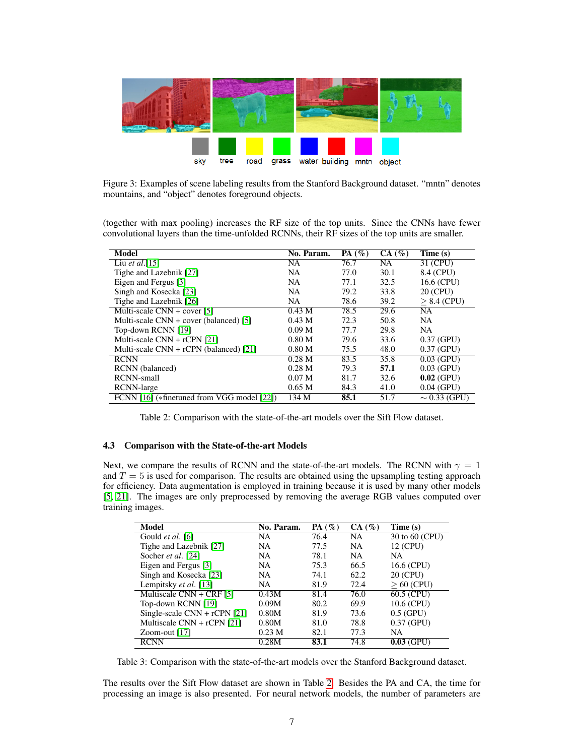

Figure 3: Examples of scene labeling results from the Stanford Background dataset. "mntn" denotes mountains, and "object" denotes foreground objects.

(together with max pooling) increases the RF size of the top units. Since the CNNs have fewer convolutional layers than the time-unfolded RCNNs, their RF sizes of the top units are smaller.

| Model                                      | No. Param.        | PA $(\%)$ | CA(%)     | Time (s)          |
|--------------------------------------------|-------------------|-----------|-----------|-------------------|
| Liu et al. $[15]$                          | NA                | 76.7      | <b>NA</b> | 31 (CPU)          |
| Tighe and Lazebnik [27]                    | NA                | 77.0      | 30.1      | 8.4 (CPU)         |
| Eigen and Fergus [3]                       | <b>NA</b>         | 77.1      | 32.5      | 16.6 (CPU)        |
| Singh and Kosecka [23]                     | NA                | 79.2      | 33.8      | 20 (CPU)          |
| Tighe and Lazebnik [26]                    | NA                | 78.6      | 39.2      | $> 8.4$ (CPU)     |
| Multi-scale $CNN + cover$ [5]              | 0.43 M            | 78.5      | 29.6      | NA.               |
| Multi-scale $CNN + cover$ (balanced) [5]   | $0.43$ M          | 72.3      | 50.8      | <b>NA</b>         |
| Top-down RCNN [19]                         | 0.09 <sub>M</sub> | 77.7      | 29.8      | <b>NA</b>         |
| Multi-scale $CNN + rCPN$ [21]              | 0.80 <sub>M</sub> | 79.6      | 33.6      | $0.37$ (GPU)      |
| Multi-scale $CNN + rCPN$ (balanced) [21]   | 0.80 <sub>M</sub> | 75.5      | 48.0      | $0.37$ (GPU)      |
| <b>RCNN</b>                                | 0.28 <sub>M</sub> | 83.5      | 35.8      | $0.03$ (GPU)      |
| RCNN (balanced)                            | 0.28 <sub>M</sub> | 79.3      | 57.1      | $0.03$ (GPU)      |
| <b>RCNN-small</b>                          | 0.07 <sub>M</sub> | 81.7      | 32.6      | $0.02$ (GPU)      |
| RCNN-large                                 | 0.65 <sub>M</sub> | 84.3      | 41.0      | $0.04$ (GPU)      |
| FCNN [16] (*finetuned from VGG model [22]) | 134 M             | 85.1      | 51.7      | $\sim 0.33$ (GPU) |

Table 2: Comparison with the state-of-the-art models over the Sift Flow dataset.

#### 4.3 Comparison with the State-of-the-art Models

Next, we compare the results of RCNN and the state-of-the-art models. The RCNN with  $\gamma = 1$ and  $T = 5$  is used for comparison. The results are obtained using the upsampling testing approach for efficiency. Data augmentation is employed in training because it is used by many other models [5, 21]. The images are only preprocessed by removing the average RGB values computed over training images.

| Model                                 | No. Param.        | PA $(\%)$ | CA(%)     | Time (s)       |
|---------------------------------------|-------------------|-----------|-----------|----------------|
| Gould et al. [6]                      | NA                | 76.4      | <b>NA</b> | 30 to 60 (CPU) |
| Tighe and Lazebnik [27]               | NA.               | 77.5      | <b>NA</b> | 12 (CPU)       |
| Socher et al. [24]                    | NA.               | 78.1      | <b>NA</b> | NΑ             |
| Eigen and Fergus [3]                  | NA                | 75.3      | 66.5      | 16.6 (CPU)     |
| Singh and Kosecka [23]                | NA.               | 74.1      | 62.2      | 20 (CPU)       |
| Lempitsky et al. [13]                 | NA.               | 81.9      | 72.4      | $>60$ (CPU)    |
| Multiscale $\overline{CNN}$ + CRF [5] | 0.43M             | 81.4      | 76.0      | 60.5 (CPU)     |
| Top-down RCNN [19]                    | 0.09M             | 80.2      | 69.9      | 10.6 (CPU)     |
| Single-scale $CNN + rCPN$ [21]        | 0.80M             | 81.9      | 73.6      | $0.5$ (GPU)    |
| Multiscale $CNN + rCPN$ [21]          | 0.80M             | 81.0      | 78.8      | $0.37$ (GPU)   |
| Zoom-out $[17]$                       | 0.23 <sub>M</sub> | 82.1      | 77.3      | <b>NA</b>      |
| <b>RCNN</b>                           | 0.28M             | 83.1      | 74.8      | $0.03$ (GPU)   |

Table 3: Comparison with the state-of-the-art models over the Stanford Background dataset.

The results over the Sift Flow dataset are shown in Table 2. Besides the PA and CA, the time for processing an image is also presented. For neural network models, the number of parameters are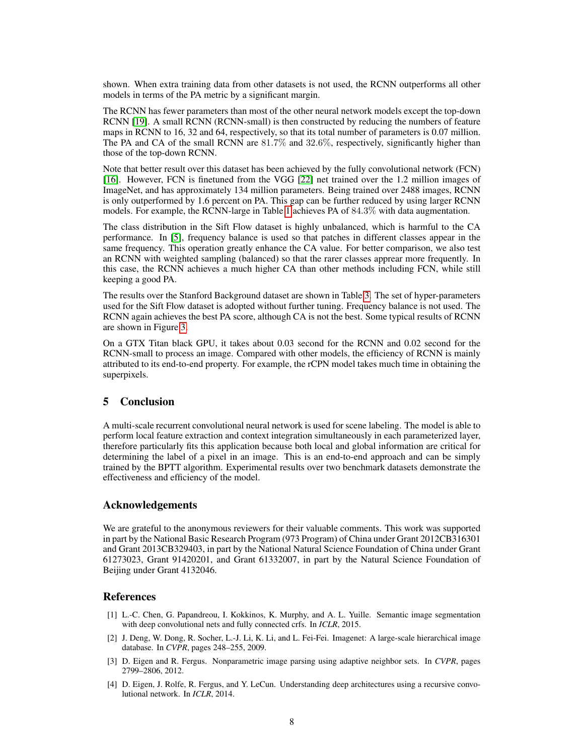shown. When extra training data from other datasets is not used, the RCNN outperforms all other models in terms of the PA metric by a significant margin.

The RCNN has fewer parameters than most of the other neural network models except the top-down RCNN [19]. A small RCNN (RCNN-small) is then constructed by reducing the numbers of feature maps in RCNN to 16, 32 and 64, respectively, so that its total number of parameters is 0.07 million. The PA and CA of the small RCNN are 81.7% and 32.6%, respectively, significantly higher than those of the top-down RCNN.

Note that better result over this dataset has been achieved by the fully convolutional network (FCN) [16]. However, FCN is finetuned from the VGG [22] net trained over the 1.2 million images of ImageNet, and has approximately 134 million parameters. Being trained over 2488 images, RCNN is only outperformed by 1.6 percent on PA. This gap can be further reduced by using larger RCNN models. For example, the RCNN-large in Table 1 achieves PA of 84.3% with data augmentation.

The class distribution in the Sift Flow dataset is highly unbalanced, which is harmful to the CA performance. In [5], frequency balance is used so that patches in different classes appear in the same frequency. This operation greatly enhance the CA value. For better comparison, we also test an RCNN with weighted sampling (balanced) so that the rarer classes apprear more frequently. In this case, the RCNN achieves a much higher CA than other methods including FCN, while still keeping a good PA.

The results over the Stanford Background dataset are shown in Table 3. The set of hyper-parameters used for the Sift Flow dataset is adopted without further tuning. Frequency balance is not used. The RCNN again achieves the best PA score, although CA is not the best. Some typical results of RCNN are shown in Figure 3.

On a GTX Titan black GPU, it takes about 0.03 second for the RCNN and 0.02 second for the RCNN-small to process an image. Compared with other models, the efficiency of RCNN is mainly attributed to its end-to-end property. For example, the rCPN model takes much time in obtaining the superpixels.

## 5 Conclusion

A multi-scale recurrent convolutional neural network is used for scene labeling. The model is able to perform local feature extraction and context integration simultaneously in each parameterized layer, therefore particularly fits this application because both local and global information are critical for determining the label of a pixel in an image. This is an end-to-end approach and can be simply trained by the BPTT algorithm. Experimental results over two benchmark datasets demonstrate the effectiveness and efficiency of the model.

## Acknowledgements

We are grateful to the anonymous reviewers for their valuable comments. This work was supported in part by the National Basic Research Program (973 Program) of China under Grant 2012CB316301 and Grant 2013CB329403, in part by the National Natural Science Foundation of China under Grant 61273023, Grant 91420201, and Grant 61332007, in part by the Natural Science Foundation of Beijing under Grant 4132046.

## **References**

- [1] L.-C. Chen, G. Papandreou, I. Kokkinos, K. Murphy, and A. L. Yuille. Semantic image segmentation with deep convolutional nets and fully connected crfs. In *ICLR*, 2015.
- [2] J. Deng, W. Dong, R. Socher, L.-J. Li, K. Li, and L. Fei-Fei. Imagenet: A large-scale hierarchical image database. In *CVPR*, pages 248–255, 2009.
- [3] D. Eigen and R. Fergus. Nonparametric image parsing using adaptive neighbor sets. In *CVPR*, pages 2799–2806, 2012.
- [4] D. Eigen, J. Rolfe, R. Fergus, and Y. LeCun. Understanding deep architectures using a recursive convolutional network. In *ICLR*, 2014.